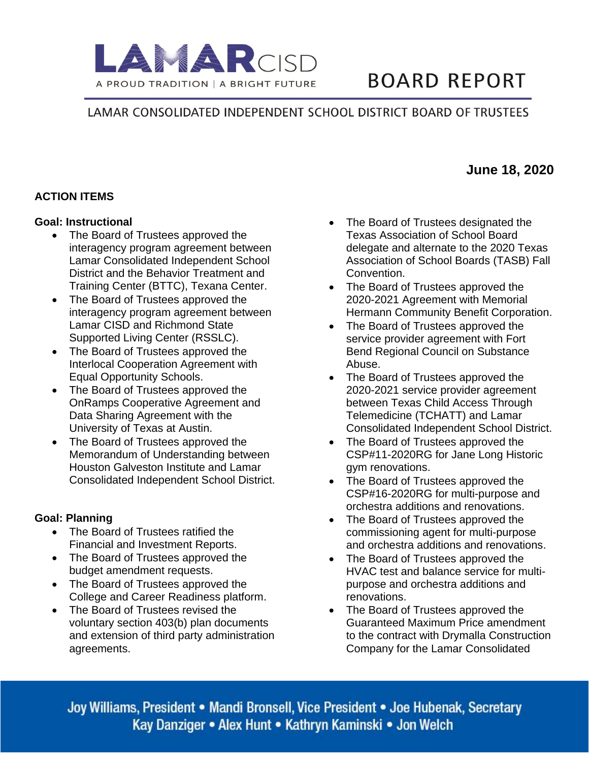

# **BOARD REPORT**

# LAMAR CONSOLIDATED INDEPENDENT SCHOOL DISTRICT BOARD OF TRUSTEES

## **ACTION ITEMS**

#### **Goal: Instructional**

- The Board of Trustees approved the interagency program agreement between Lamar Consolidated Independent School District and the Behavior Treatment and Training Center (BTTC), Texana Center.
- The Board of Trustees approved the interagency program agreement between Lamar CISD and Richmond State Supported Living Center (RSSLC).
- The Board of Trustees approved the Interlocal Cooperation Agreement with Equal Opportunity Schools.
- The Board of Trustees approved the OnRamps Cooperative Agreement and Data Sharing Agreement with the University of Texas at Austin.
- The Board of Trustees approved the Memorandum of Understanding between Houston Galveston Institute and Lamar Consolidated Independent School District.

#### **Goal: Planning**

- The Board of Trustees ratified the Financial and Investment Reports.
- The Board of Trustees approved the budget amendment requests.
- The Board of Trustees approved the College and Career Readiness platform.
- The Board of Trustees revised the voluntary section 403(b) plan documents and extension of third party administration agreements.
- The Board of Trustees designated the Texas Association of School Board delegate and alternate to the 2020 Texas Association of School Boards (TASB) Fall Convention.
- The Board of Trustees approved the 2020-2021 Agreement with Memorial Hermann Community Benefit Corporation.
- The Board of Trustees approved the service provider agreement with Fort Bend Regional Council on Substance Abuse.
- The Board of Trustees approved the 2020-2021 service provider agreement between Texas Child Access Through Telemedicine (TCHATT) and Lamar Consolidated Independent School District.
- The Board of Trustees approved the CSP#11-2020RG for Jane Long Historic gym renovations.
- The Board of Trustees approved the CSP#16-2020RG for multi-purpose and orchestra additions and renovations.
- The Board of Trustees approved the commissioning agent for multi-purpose and orchestra additions and renovations.
- The Board of Trustees approved the HVAC test and balance service for multipurpose and orchestra additions and renovations.
- The Board of Trustees approved the Guaranteed Maximum Price amendment to the contract with Drymalla Construction Company for the Lamar Consolidated

Joy Williams, President • Mandi Bronsell, Vice President • Joe Hubenak, Secretary Kay Danziger • Alex Hunt • Kathryn Kaminski • Jon Welch

# **June 18, 2020**